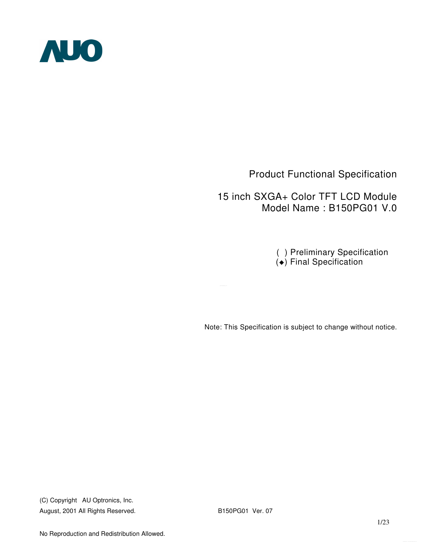

Product Functional Specification

15 inch SXGA+ Color TFT LCD Module Model Name : B150PG01 V.0

> ( ) Preliminary Specification  $\left(\bullet\right)$  Final Specification

Note: This Specification is subject to change without notice.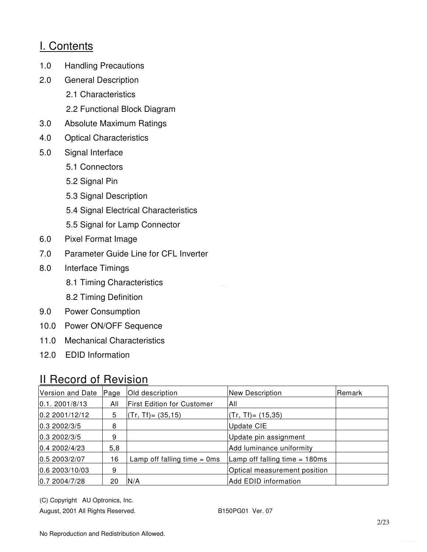### I. Contents

- 1.0 Handling Precautions
- 2.0 General Description
	- 2.1 Characteristics
	- 2.2 Functional Block Diagram
- 3.0 Absolute Maximum Ratings
- 4.0 Optical Characteristics
- 5.0 Signal Interface
	- 5.1 Connectors
	- 5.2 Signal Pin
	- 5.3 Signal Description
	- 5.4 Signal Electrical Characteristics
	- 5.5 Signal for Lamp Connector
- 6.0 Pixel Format Image
- 7.0 Parameter Guide Line for CFL Inverter
- 8.0 Interface Timings
	- 8.1 Timing Characteristics
	- 8.2 Timing Definition
- 9.0 Power Consumption
- 10.0 Power ON/OFF Sequence
- 11.0 Mechanical Characteristics
- 12.0 EDID Information

### II Record of Revision

| Version and Date | Page | Old description                                                    | <b>New Description</b>       | lRemark |
|------------------|------|--------------------------------------------------------------------|------------------------------|---------|
| 0.1.2001/8/13    | All  | <b>First Edition for Customer</b>                                  | All                          |         |
| 0.2 2001/12/12   | 5    | $(Tr, Tf) = (35, 15)$                                              | $(Tr, Tf) = (15,35)$         |         |
| 0.32002/3/5      | 8    |                                                                    | <b>Update CIE</b>            |         |
| 0.3 2002/3/5     | 9    | Update pin assignment                                              |                              |         |
| 0.4 2002/4/23    | 5,8  |                                                                    | Add luminance uniformity     |         |
| 0.5 2003/2/07    | 16   | Lamp off falling time $= 0$ ms<br>Lamp off falling time $= 180$ ms |                              |         |
| 0.6 2003/10/03   | 9    |                                                                    | Optical measurement position |         |
| 0.7 2004/7/28    | 20   | N/A                                                                | <b>Add EDID information</b>  |         |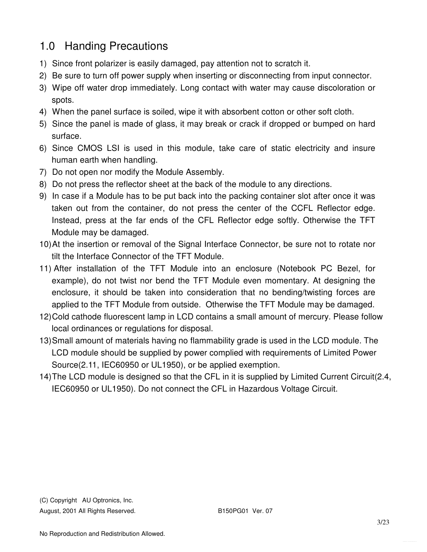# 1.0 Handing Precautions

- 1) Since front polarizer is easily damaged, pay attention not to scratch it.
- 2) Be sure to turn off power supply when inserting or disconnecting from input connector.
- 3) Wipe off water drop immediately. Long contact with water may cause discoloration or spots.
- 4) When the panel surface is soiled, wipe it with absorbent cotton or other soft cloth.
- 5) Since the panel is made of glass, it may break or crack if dropped or bumped on hard surface.
- 6) Since CMOS LSI is used in this module, take care of static electricity and insure human earth when handling.
- 7) Do not open nor modify the Module Assembly.
- 8) Do not press the reflector sheet at the back of the module to any directions.
- 9) In case if a Module has to be put back into the packing container slot after once it was taken out from the container, do not press the center of the CCFL Reflector edge. Instead, press at the far ends of the CFL Reflector edge softly. Otherwise the TFT Module may be damaged.
- 10)At the insertion or removal of the Signal Interface Connector, be sure not to rotate nor tilt the Interface Connector of the TFT Module.
- 11) After installation of the TFT Module into an enclosure (Notebook PC Bezel, for example), do not twist nor bend the TFT Module even momentary. At designing the enclosure, it should be taken into consideration that no bending/twisting forces are applied to the TFT Module from outside. Otherwise the TFT Module may be damaged.
- 12)Cold cathode fluorescent lamp in LCD contains a small amount of mercury. Please follow local ordinances or regulations for disposal.
- 13)Small amount of materials having no flammability grade is used in the LCD module. The LCD module should be supplied by power complied with requirements of Limited Power Source(2.11, IEC60950 or UL1950), or be applied exemption.
- 14)The LCD module is designed so that the CFL in it is supplied by Limited Current Circuit(2.4, IEC60950 or UL1950). Do not connect the CFL in Hazardous Voltage Circuit.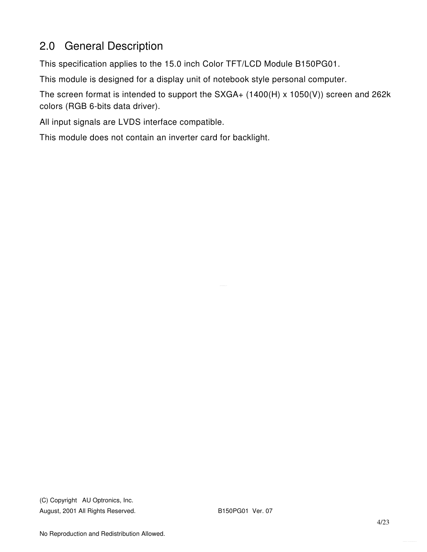# 2.0 General Description

This specification applies to the 15.0 inch Color TFT/LCD Module B150PG01.

This module is designed for a display unit of notebook style personal computer.

The screen format is intended to support the  $S XGA+ (1400(H) \times 1050(V))$  screen and 262k colors (RGB 6-bits data driver).

All input signals are LVDS interface compatible.

This module does not contain an inverter card for backlight.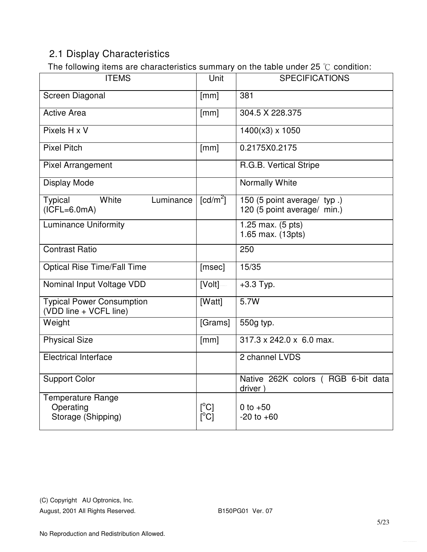## 2.1 Display Characteristics

The following items are characteristics summary on the table under 25  $\degree$ C condition:

| . 9<br><b>ITEMS</b>                                         | Unit                                                                    | <b>SPECIFICATIONS</b>                                      |
|-------------------------------------------------------------|-------------------------------------------------------------------------|------------------------------------------------------------|
| Screen Diagonal                                             | [mm]                                                                    | 381                                                        |
| <b>Active Area</b>                                          | [mm]                                                                    | 304.5 X 228.375                                            |
| Pixels H x V                                                |                                                                         | $1400(x3)$ x 1050                                          |
| <b>Pixel Pitch</b>                                          | [mm]                                                                    | 0.2175X0.2175                                              |
| <b>Pixel Arrangement</b>                                    |                                                                         | R.G.B. Vertical Stripe                                     |
| <b>Display Mode</b>                                         |                                                                         | Normally White                                             |
| Typical<br>White<br>Luminance<br>$(ICFL=6.0mA)$             | $\lceil cd/m^2 \rceil$                                                  | 150 (5 point average/ typ.)<br>120 (5 point average/ min.) |
| <b>Luminance Uniformity</b>                                 |                                                                         | 1.25 max. (5 pts)<br>1.65 max. (13pts)                     |
| <b>Contrast Ratio</b>                                       |                                                                         | 250                                                        |
| <b>Optical Rise Time/Fall Time</b>                          | [msec]                                                                  | 15/35                                                      |
| Nominal Input Voltage VDD                                   | [Volt]                                                                  | $+3.3$ Typ.                                                |
| <b>Typical Power Consumption</b><br>(VDD line + VCFL line)  | [Watt]                                                                  | 5.7W                                                       |
| Weight                                                      | [Grams]                                                                 | 550g typ.                                                  |
| <b>Physical Size</b>                                        | [mm]                                                                    | $317.3 \times 242.0 \times 6.0$ max.                       |
| <b>Electrical Interface</b>                                 |                                                                         | 2 channel LVDS                                             |
| <b>Support Color</b>                                        |                                                                         | Native 262K colors (RGB 6-bit data<br>driver)              |
| <b>Temperature Range</b><br>Operating<br>Storage (Shipping) | $\mathsf{I}^\circ\mathsf{C}$<br>$\mathsf{I}^\circ\mathsf{C} \mathsf{I}$ | 0 to $+50$<br>$-20$ to $+60$                               |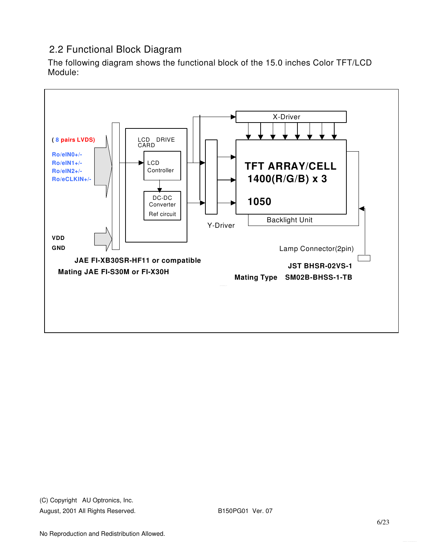### 2.2 Functional Block Diagram

The following diagram shows the functional block of the 15.0 inches Color TFT/LCD Module:

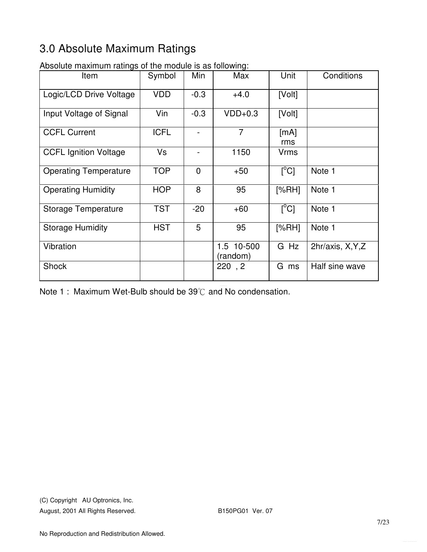# 3.0 Absolute Maximum Ratings

| Item                         | Symbol      | Min            | Max                    | Unit                      | Conditions        |
|------------------------------|-------------|----------------|------------------------|---------------------------|-------------------|
| Logic/LCD Drive Voltage      | <b>VDD</b>  | $-0.3$         | $+4.0$                 | [Volt]                    |                   |
| Input Voltage of Signal      | Vin         | $-0.3$         | $VDD+0.3$              | [Volt]                    |                   |
| <b>CCFL Current</b>          | <b>ICFL</b> | $\blacksquare$ | $\overline{7}$         | [mA]<br>rms               |                   |
| <b>CCFL Ignition Voltage</b> | Vs          |                | 1150                   | Vrms                      |                   |
| <b>Operating Temperature</b> | <b>TOP</b>  | $\overline{0}$ | $+50$                  | $\lceil{^{\circ}C}\rceil$ | Note 1            |
| <b>Operating Humidity</b>    | <b>HOP</b>  | 8              | 95                     | [%RH]                     | Note 1            |
| <b>Storage Temperature</b>   | <b>TST</b>  | $-20$          | $+60$                  | $\overline{C}$            | Note 1            |
| <b>Storage Humidity</b>      | <b>HST</b>  | 5              | 95                     | [%RH]                     | Note 1            |
| Vibration                    |             |                | 1.5 10-500<br>(random) | G Hz                      | 2hr/axis, X, Y, Z |
| <b>Shock</b>                 |             |                | 220, 2                 | G ms                      | Half sine wave    |

Absolute maximum ratings of the module is as following:

Note 1 : Maximum Wet-Bulb should be  $39^{\circ}$  and No condensation.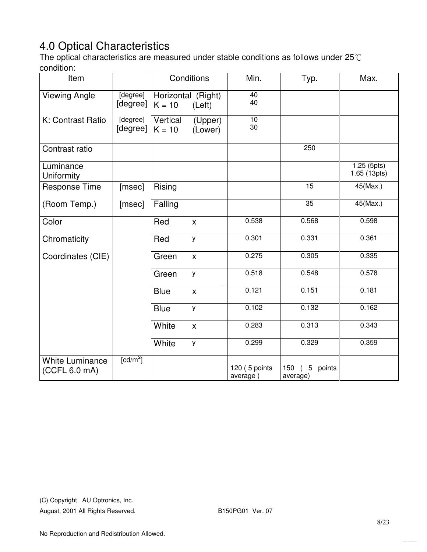# 4.0 Optical Characteristics

The optical characteristics are measured under stable conditions as follows under  $25^{\circ}$ C condition:

| Item                                    |                      |                      | Conditions                   | Min.                      | Typ.                        | Max.                       |
|-----------------------------------------|----------------------|----------------------|------------------------------|---------------------------|-----------------------------|----------------------------|
| <b>Viewing Angle</b>                    | [degree]<br>[degree] | $K = 10$             | Horizontal (Right)<br>(Left) | 40<br>40                  |                             |                            |
| K: Contrast Ratio                       | [degree]<br>[degree] | Vertical<br>$K = 10$ | (Upper)<br>(Lower)           | 10<br>30                  |                             |                            |
| Contrast ratio                          |                      |                      |                              |                           | 250                         |                            |
| Luminance<br>Uniformity                 |                      |                      |                              |                           |                             | 1.25(5pts)<br>1.65 (13pts) |
| Response Time                           | [msec]               | Rising               |                              |                           | 15                          | $45$ (Max.)                |
| (Room Temp.)                            | [msec]               | Falling              |                              |                           | 35                          | 45(Max.)                   |
| Color                                   |                      | Red                  | $\mathsf{x}$                 | 0.538                     | 0.568                       | 0.598                      |
| Chromaticity                            |                      | Red                  | У                            | 0.301                     | 0.331                       | 0.361                      |
| Coordinates (CIE)                       |                      | Green                | $\mathsf{X}$                 | 0.275                     | 0.305                       | 0.335                      |
|                                         |                      | Green                | У                            | 0.518                     | 0.548                       | 0.578                      |
|                                         |                      | <b>Blue</b>          | $\pmb{\mathsf{X}}$           | 0.121                     | 0.151                       | 0.181                      |
|                                         |                      | <b>Blue</b>          | у                            | 0.102                     | 0.132                       | 0.162                      |
|                                         |                      | White                | $\pmb{\times}$               | 0.283                     | 0.313                       | 0.343                      |
|                                         |                      | White                | У                            | 0.299                     | 0.329                       | 0.359                      |
| <b>White Luminance</b><br>(CCFL 6.0 mA) | [cd/m <sup>2</sup> ] |                      |                              | 120 (5 points<br>average) | 150<br>5 points<br>average) |                            |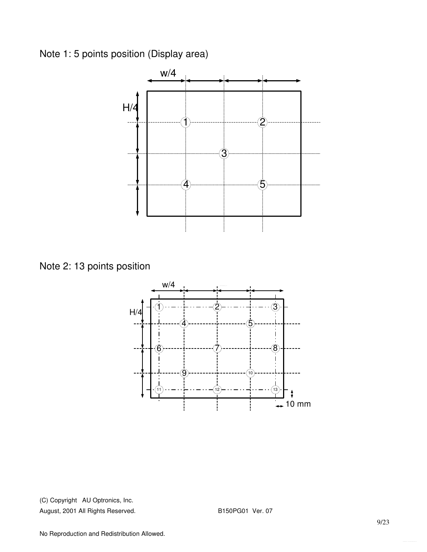Note 1: 5 points position (Display area)



Note 2: 13 points position

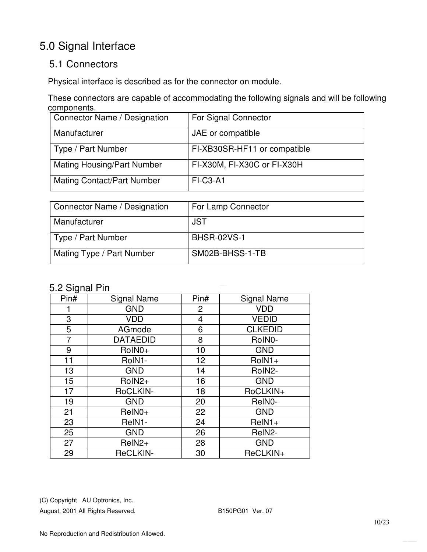# 5.0 Signal Interface

#### 5.1 Connectors

Physical interface is described as for the connector on module.

These connectors are capable of accommodating the following signals and will be following components.

| Connector Name / Designation      | For Signal Connector         |
|-----------------------------------|------------------------------|
| Manufacturer                      | JAE or compatible            |
| Type / Part Number                | FI-XB30SR-HF11 or compatible |
| <b>Mating Housing/Part Number</b> | FI-X30M, FI-X30C or FI-X30H  |
| <b>Mating Contact/Part Number</b> | $FI-C3-A1$                   |

| Connector Name / Designation | For Lamp Connector |
|------------------------------|--------------------|
| Manufacturer                 | JST                |
| Type / Part Number           | <b>BHSR-02VS-1</b> |
| Mating Type / Part Number    | SM02B-BHSS-1-TB    |

#### 5.2 Signal Pin

| ◡<br>Pin# | <b>Signal Name</b> | Pin#           | <b>Signal Name</b> |
|-----------|--------------------|----------------|--------------------|
|           | <b>GND</b>         | $\overline{2}$ | <b>VDD</b>         |
| 3         | <b>VDD</b>         | 4              | <b>VEDID</b>       |
| 5         | AGmode             | 6              | <b>CLKEDID</b>     |
| 7         | <b>DATAEDID</b>    | 8              | RoIN0-             |
| 9         | RoIN0+             | 10             | <b>GND</b>         |
| 11        | RoIN1-             | 12             | $Roll1+$           |
| 13        | <b>GND</b>         | 14             | RoIN2-             |
| 15        | RoIN2+             | 16             | <b>GND</b>         |
| 17        | RoCLKIN-           | 18             | RoCLKIN+           |
| 19        | <b>GND</b>         | 20             | ReIN0-             |
| 21        | $ReINO+$           | 22             | <b>GND</b>         |
| 23        | ReIN1-             | 24             | $ReIN1+$           |
| 25        | <b>GND</b>         | 26             | ReIN2-             |
| 27        | ReIN2+             | 28             | <b>GND</b>         |
| 29        | ReCLKIN-           | 30             | ReCLKIN+           |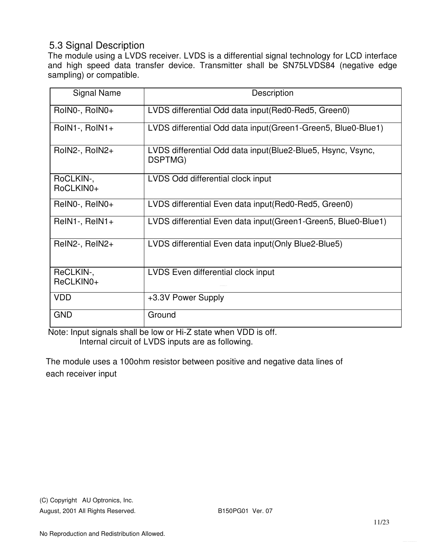#### 5.3 Signal Description

The module using a LVDS receiver. LVDS is a differential signal technology for LCD interface and high speed data transfer device. Transmitter shall be SN75LVDS84 (negative edge sampling) or compatible.

| <b>Signal Name</b>     | Description                                                            |
|------------------------|------------------------------------------------------------------------|
| RoIN0-, RoIN0+         | LVDS differential Odd data input (Red0-Red5, Green0)                   |
| RoIN1-, RoIN1+         | LVDS differential Odd data input (Green1-Green5, Blue0-Blue1)          |
| RoIN2-, RoIN2+         | LVDS differential Odd data input(Blue2-Blue5, Hsync, Vsync,<br>DSPTMG) |
| RoCLKIN-,<br>RoCLKIN0+ | LVDS Odd differential clock input                                      |
| ReINO-, ReINO+         | LVDS differential Even data input (Red0-Red5, Green0)                  |
| $ReIN1-, ReIN1+$       | LVDS differential Even data input (Green1-Green5, Blue0-Blue1)         |
| RelN2-, RelN2+         | LVDS differential Even data input (Only Blue2-Blue5)                   |
| ReCLKIN-,<br>ReCLKIN0+ | LVDS Even differential clock input                                     |
| <b>VDD</b>             | +3.3V Power Supply                                                     |
| <b>GND</b>             | Ground                                                                 |

Note: Input signals shall be low or Hi-Z state when VDD is off. Internal circuit of LVDS inputs are as following.

The module uses a 100ohm resistor between positive and negative data lines of each receiver input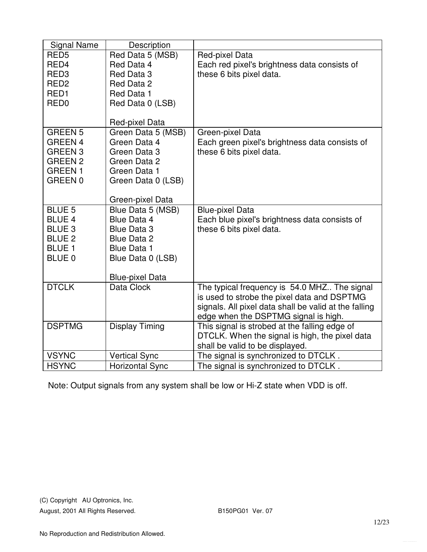| <b>Signal Name</b>                                                                                      | Description                                                                                                                                       |                                                                                                                                                                                              |
|---------------------------------------------------------------------------------------------------------|---------------------------------------------------------------------------------------------------------------------------------------------------|----------------------------------------------------------------------------------------------------------------------------------------------------------------------------------------------|
| RED <sub>5</sub><br>RED4<br>RED <sub>3</sub><br>RED <sub>2</sub><br>RED1<br>RED <sub>0</sub>            | Red Data 5 (MSB)<br>Red Data 4<br>Red Data 3<br>Red Data 2<br>Red Data 1<br>Red Data 0 (LSB)<br>Red-pixel Data                                    | Red-pixel Data<br>Each red pixel's brightness data consists of<br>these 6 bits pixel data.                                                                                                   |
| <b>GREEN 5</b><br><b>GREEN 4</b><br><b>GREEN 3</b><br><b>GREEN 2</b><br><b>GREEN1</b><br><b>GREEN 0</b> | Green Data 5 (MSB)<br>Green Data 4<br>Green Data 3<br>Green Data 2<br>Green Data 1<br>Green Data 0 (LSB)<br>Green-pixel Data                      | Green-pixel Data<br>Each green pixel's brightness data consists of<br>these 6 bits pixel data.                                                                                               |
| <b>BLUE 5</b><br><b>BLUE 4</b><br><b>BLUE 3</b><br><b>BLUE 2</b><br><b>BLUE 1</b><br>BLUE 0             | Blue Data 5 (MSB)<br>Blue Data 4<br><b>Blue Data 3</b><br><b>Blue Data 2</b><br><b>Blue Data 1</b><br>Blue Data 0 (LSB)<br><b>Blue-pixel Data</b> | <b>Blue-pixel Data</b><br>Each blue pixel's brightness data consists of<br>these 6 bits pixel data.                                                                                          |
| <b>DTCLK</b>                                                                                            | Data Clock                                                                                                                                        | The typical frequency is 54.0 MHZ The signal<br>is used to strobe the pixel data and DSPTMG<br>signals. All pixel data shall be valid at the falling<br>edge when the DSPTMG signal is high. |
| <b>DSPTMG</b>                                                                                           | <b>Display Timing</b>                                                                                                                             | This signal is strobed at the falling edge of<br>DTCLK. When the signal is high, the pixel data<br>shall be valid to be displayed.                                                           |
| <b>VSYNC</b>                                                                                            | <b>Vertical Sync</b>                                                                                                                              | The signal is synchronized to DTCLK.                                                                                                                                                         |
| <b>HSYNC</b>                                                                                            | <b>Horizontal Sync</b>                                                                                                                            | The signal is synchronized to DTCLK.                                                                                                                                                         |

Note: Output signals from any system shall be low or Hi-Z state when VDD is off.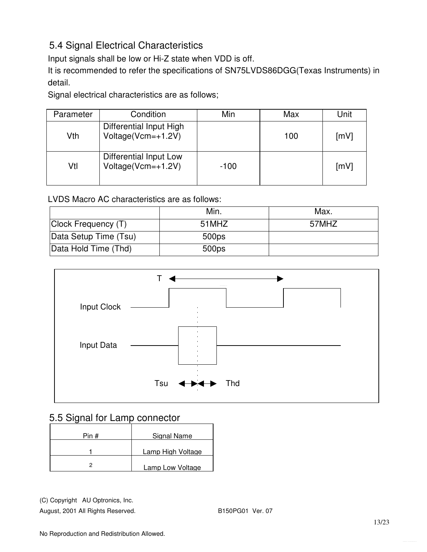### 5.4 Signal Electrical Characteristics

Input signals shall be low or Hi-Z state when VDD is off.

It is recommended to refer the specifications of SN75LVDS86DGG(Texas Instruments) in detail.

Signal electrical characteristics are as follows;

| Parameter | Condition                                      | Min    | Max | Unit |
|-----------|------------------------------------------------|--------|-----|------|
| Vth       | Differential Input High<br>Voltage(Vcm=+1.2V)  |        | 100 | [mV] |
| Vtl       | Differential Input Low<br>$Voltage(Vcm=+1.2V)$ | $-100$ |     | [mV] |

LVDS Macro AC characteristics are as follows:

|                       | Min.              | Max.  |
|-----------------------|-------------------|-------|
| Clock Frequency (T)   | 51MHZ             | 57MHZ |
| Data Setup Time (Tsu) | 500 <sub>ps</sub> |       |
| Data Hold Time (Thd)  | 500ps             |       |



### 5.5 Signal for Lamp connector

| Pin # | Signal Name       |
|-------|-------------------|
|       | Lamp High Voltage |
|       | Lamp Low Voltage  |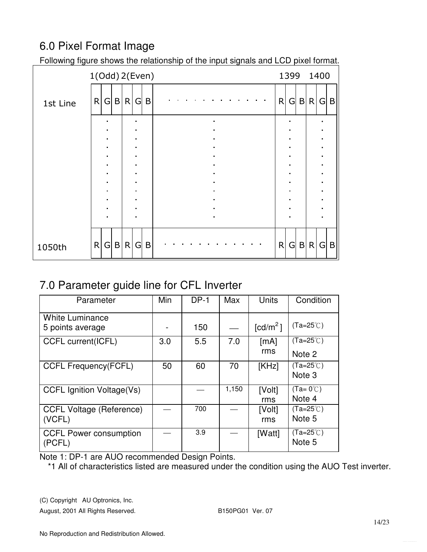# 6.0 Pixel Format Image

|          | 1(Odd) 2(Even)      | 1399 1400                        |                |              |        |                     |   |
|----------|---------------------|----------------------------------|----------------|--------------|--------|---------------------|---|
| 1st Line | R<br>$\vert$ B<br>G | R<br>B<br>G                      |                | $\mathsf{R}$ | B<br>G | R<br>G              | B |
|          | $\blacksquare$      | п                                | $\blacksquare$ |              | п      |                     |   |
|          | $\blacksquare$      |                                  |                |              |        |                     |   |
|          |                     |                                  |                |              |        |                     |   |
|          | $\blacksquare$      | $\blacksquare$                   |                |              | п      |                     |   |
|          |                     |                                  |                |              |        |                     |   |
|          | $\blacksquare$      | $\blacksquare$                   |                |              |        |                     |   |
|          | п                   |                                  |                |              |        |                     |   |
|          |                     |                                  |                |              |        |                     |   |
|          | п                   | $\blacksquare$<br>$\blacksquare$ | $\blacksquare$ |              |        |                     |   |
|          |                     |                                  |                |              |        |                     |   |
| 1050th   | G B <br>R           | R <br>B<br>G                     |                | R            | B<br>G | R<br>$\overline{G}$ | B |

Following figure shows the relationship of the input signals and LCD pixel format.

# 7.0 Parameter guide line for CFL Inverter

| Parameter                                  | Min | $DP-1$ | Max   | <b>Units</b>         | Condition                               |
|--------------------------------------------|-----|--------|-------|----------------------|-----------------------------------------|
| <b>White Luminance</b><br>5 points average |     | 150    |       | [cd/m <sup>2</sup> ] | $(Ta=25^{\circ}C)$                      |
| <b>CCFL current(ICFL)</b>                  | 3.0 | 5.5    | 7.0   | [mA]<br>rms          | $(Ta=25^{\circ}C)$<br>Note 2            |
| <b>CCFL Frequency(FCFL)</b>                | 50  | 60     | 70    | [KHz]                | $(Ta=25^{\circ}C)$<br>Note <sub>3</sub> |
| <b>CCFL Ignition Voltage(Vs)</b>           |     |        | 1,150 | [Volt]<br>rms        | $(Ta=0^{\circ}\text{C})$<br>Note 4      |
| <b>CCFL Voltage (Reference)</b><br>(VCFL)  |     | 700    |       | [Volt]<br>rms        | $(Ta=25^{\circ}C)$<br>Note 5            |
| <b>CCFL Power consumption</b><br>(PCFL)    |     | 3.9    |       | [Watt]               | $(Ta=25^{\circ}C)$<br>Note 5            |

Note 1: DP-1 are AUO recommended Design Points.

\*1 All of characteristics listed are measured under the condition using the AUO Test inverter.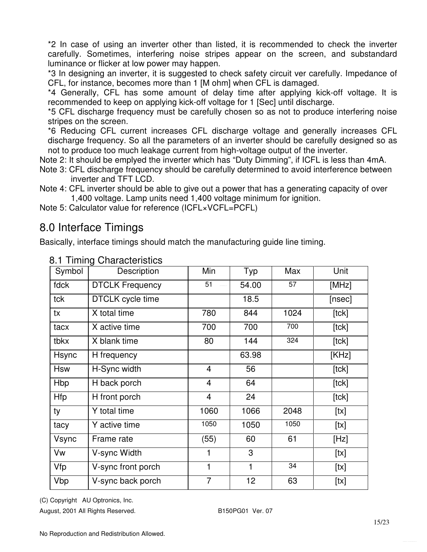\*2 In case of using an inverter other than listed, it is recommended to check the inverter carefully. Sometimes, interfering noise stripes appear on the screen, and substandard luminance or flicker at low power may happen.

\*3 In designing an inverter, it is suggested to check safety circuit ver carefully. Impedance of CFL, for instance, becomes more than 1 [M ohm] when CFL is damaged.

\*4 Generally, CFL has some amount of delay time after applying kick-off voltage. It is recommended to keep on applying kick-off voltage for 1 [Sec] until discharge.

\*5 CFL discharge frequency must be carefully chosen so as not to produce interfering noise stripes on the screen.

\*6 Reducing CFL current increases CFL discharge voltage and generally increases CFL discharge frequency. So all the parameters of an inverter should be carefully designed so as not to produce too much leakage current from high-voltage output of the inverter.

Note 2: It should be emplyed the inverter which has "Duty Dimming", if ICFL is less than 4mA.

- Note 3: CFL discharge frequency should be carefully determined to avoid interference between inverter and TFT LCD.
- Note 4: CFL inverter should be able to give out a power that has a generating capacity of over 1,400 voltage. Lamp units need 1,400 voltage minimum for ignition.
- Note 5: Calculator value for reference (ICFL×VCFL=PCFL)

### 8.0 Interface Timings

Basically, interface timings should match the manufacturing guide line timing.

| Symbol     | Description            | Min            | Typ   | Max  | Unit   |
|------------|------------------------|----------------|-------|------|--------|
| fdck       | <b>DTCLK Frequency</b> | 51             | 54.00 | 57   | [MHz]  |
| tck        | DTCLK cycle time       |                | 18.5  |      | [nsec] |
| tx         | X total time           | 780            | 844   | 1024 | [tck]  |
| tacx       | X active time          | 700            | 700   | 700  | [tck]  |
| tbkx       | X blank time           | 80             | 144   | 324  | [tck]  |
| Hsync      | H frequency            |                | 63.98 |      | [KHz]  |
| <b>Hsw</b> | H-Sync width           | 4              | 56    |      | [tck]  |
| Hbp        | H back porch           | 4              | 64    |      | [tck]  |
| Hfp        | H front porch          | $\overline{4}$ | 24    |      | [tck]  |
| ty         | Y total time           | 1060           | 1066  | 2048 | [tx]   |
| tacy       | Y active time          | 1050           | 1050  | 1050 | [tx]   |
| Vsync      | Frame rate             | (55)           | 60    | 61   | [Hz]   |
| Vw         | V-sync Width           | 1              | 3     |      | [tx]   |
| Vfp        | V-sync front porch     | 1              | 1     | 34   | [tx]   |
| Vbp        | V-sync back porch      | 7              | 12    | 63   | [tx]   |

#### 8.1 Timing Characteristics

August, 2001 All Rights Reserved. August 2001 Ver. 07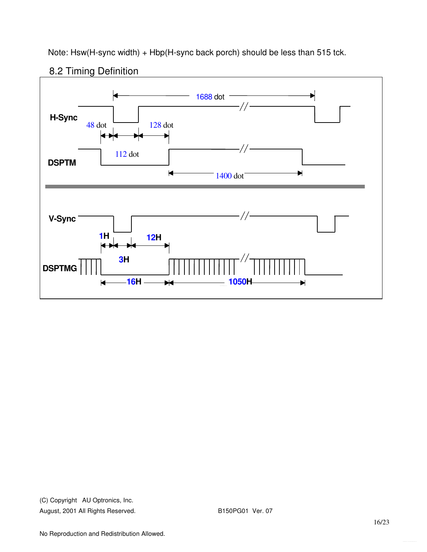Note: Hsw(H-sync width) + Hbp(H-sync back porch) should be less than 515 tck.



### 8.2 Timing Definition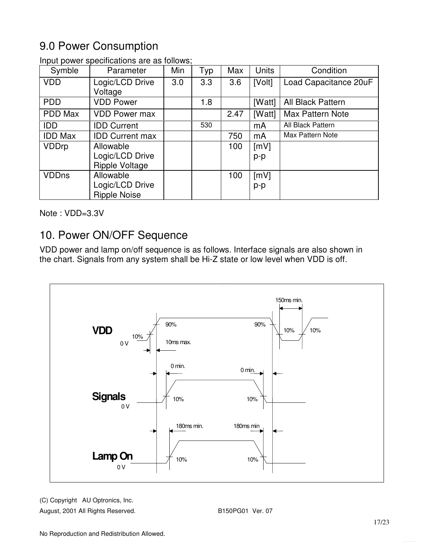# 9.0 Power Consumption

| Symble         | nipat ponoi opoomoanono aro ao ionono,<br>Parameter | Min | Typ | Max  | <b>Units</b> | Condition             |
|----------------|-----------------------------------------------------|-----|-----|------|--------------|-----------------------|
| <b>VDD</b>     | Logic/LCD Drive<br>Voltage                          | 3.0 | 3.3 | 3.6  | [Volt]       | Load Capacitance 20uF |
| <b>PDD</b>     | <b>VDD Power</b>                                    |     | 1.8 |      | [Watt]       | All Black Pattern     |
| PDD Max        | <b>VDD Power max</b>                                |     |     | 2.47 | [Watt]       | Max Pattern Note      |
| <b>IDD</b>     | <b>IDD Current</b>                                  |     | 530 |      | mA           | All Black Pattern     |
| <b>IDD Max</b> | <b>IDD Current max</b>                              |     |     | 750  | mA           | Max Pattern Note      |
| <b>VDDrp</b>   | Allowable                                           |     |     | 100  | [mV]         |                       |
|                | Logic/LCD Drive                                     |     |     |      | p-p          |                       |
|                | <b>Ripple Voltage</b>                               |     |     |      |              |                       |
| <b>VDDns</b>   | Allowable                                           |     |     | 100  | [mV]         |                       |
|                | Logic/LCD Drive                                     |     |     |      | $p-p$        |                       |
|                | <b>Ripple Noise</b>                                 |     |     |      |              |                       |

Input power specifications are as follows;

Note : VDD=3.3V

## 10. Power ON/OFF Sequence

VDD power and lamp on/off sequence is as follows. Interface signals are also shown in the chart. Signals from any system shall be Hi-Z state or low level when VDD is off.

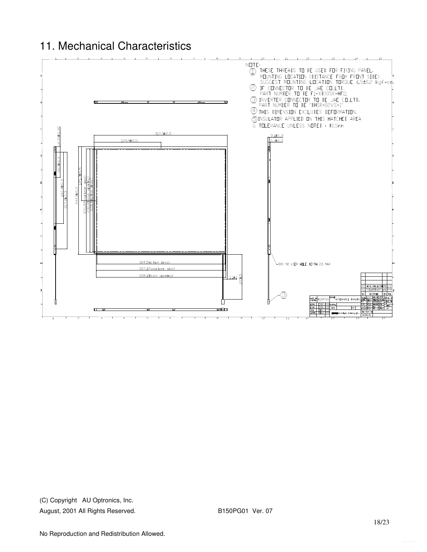## 11. Mechanical Characteristics

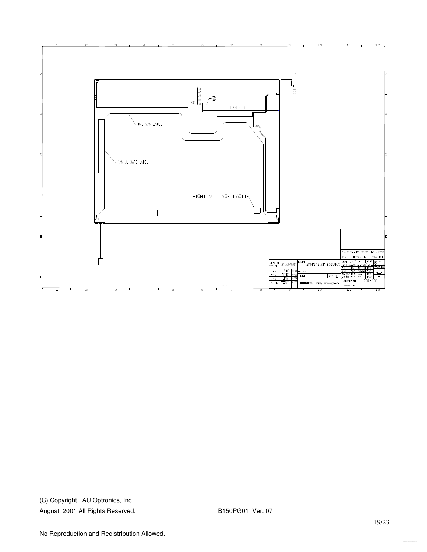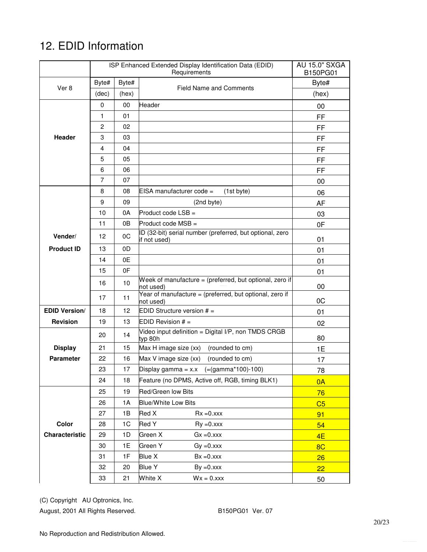# 12. EDID Information

|                      | ISP Enhanced Extended Display Identification Data (EDID) | <b>AU 15.0" SXGA</b><br>B150PG01 |                                                                          |                |
|----------------------|----------------------------------------------------------|----------------------------------|--------------------------------------------------------------------------|----------------|
|                      | Byte#                                                    | Byte#                            | Requirements                                                             | Byte#          |
| Ver 8                | (dec)                                                    | (hex)                            | <b>Field Name and Comments</b>                                           | (hex)          |
|                      | $\mathbf 0$                                              | $00\,$                           | Header                                                                   | 00             |
|                      | 1                                                        | 01                               |                                                                          | FF             |
|                      | $\overline{2}$                                           | 02                               |                                                                          | FF             |
| Header               | 3                                                        | 03                               |                                                                          | FF             |
|                      | 4                                                        | 04                               |                                                                          | FF             |
|                      | 5                                                        | 05                               |                                                                          | FF             |
|                      | 6                                                        | 06                               |                                                                          | FF             |
|                      | $\overline{7}$                                           | 07                               |                                                                          | 00             |
|                      | 8                                                        | 08                               | EISA manufacturer code =<br>(1st byte)                                   | 06             |
|                      | 9                                                        | 09                               | (2nd byte)                                                               | AF             |
|                      | 10                                                       | 0A                               | Product code $LSB =$                                                     | 03             |
|                      | 11                                                       | 0В                               | Product code MSB =                                                       | 0F             |
| Vender/              | 12                                                       | 0C                               | ID (32-bit) serial number (preferred, but optional, zero<br>if not used) | 01             |
| <b>Product ID</b>    | 13                                                       | 0D                               |                                                                          | 01             |
|                      | 14                                                       | 0E                               |                                                                          | 01             |
|                      | 15                                                       | 0F                               |                                                                          | 01             |
|                      | 16                                                       | 10                               | Week of manufacture = (preferred, but optional, zero if<br>not used)     | 00             |
|                      | 17                                                       | 11                               | Year of manufacture = (preferred, but optional, zero if<br>not used)     | 0C             |
| <b>EDID Version/</b> | 18                                                       | 12                               | EDID Structure version $# =$                                             | 01             |
| <b>Revision</b>      | 19                                                       | 13                               | EDID Revision $# =$                                                      | 02             |
|                      | 20                                                       | 14                               | Video input definition = Digital I/P, non TMDS CRGB<br>typ 80h           | 80             |
| <b>Display</b>       | 21                                                       | 15                               | Max H image size (xx)<br>(rounded to cm)                                 | 1E             |
| <b>Parameter</b>     | 22                                                       | 16                               | Max V image size (xx)<br>(rounded to cm)                                 | 17             |
|                      | 23                                                       | 17                               | $(=(gamma*100)-100)$<br>Display gamma = $x.x$                            | 78             |
|                      | 24                                                       | 18                               | Feature (no DPMS, Active off, RGB, timing BLK1)                          | 0A             |
|                      | 25                                                       | 19                               | Red/Green low Bits                                                       | 76             |
|                      | 26                                                       | 1A                               | <b>Blue/White Low Bits</b>                                               | C <sub>5</sub> |
|                      | 27                                                       | 1B                               | Red X<br>$Rx = 0.xxx$                                                    | 91             |
| Color                | 28                                                       | 1C                               | <b>Red Y</b><br>$\text{Ry} = 0.$ xxx                                     | 54             |
| Characteristic       | 29                                                       | 1D                               | Green X<br>$Gx = 0.xxx$                                                  | 4E             |
|                      | 30                                                       | 1E                               | Green Y<br>$Gy = 0.xxx$                                                  | 8 <sub>C</sub> |
|                      | 31                                                       | 1F                               | <b>Blue X</b><br>$Bx = 0.xxx$                                            | 26             |
|                      | 32                                                       | 20                               | <b>Blue Y</b><br>$By = 0.xxx$                                            | 22             |
|                      | 33                                                       | 21                               | White X<br>$Wx = 0.xxx$                                                  | 50             |

```
August, 2001 All Rights Reserved. B150PG01 Ver. 07
```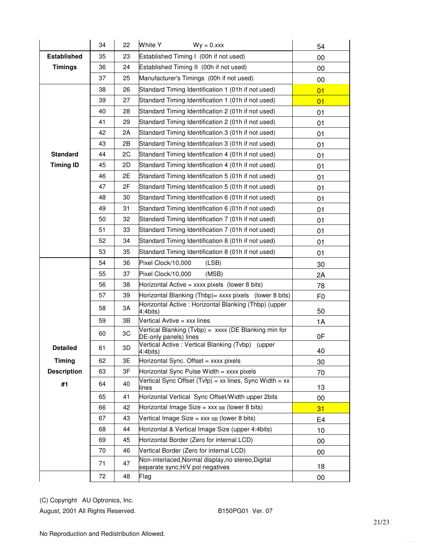|                    | 34 | 22  | White Y<br>$Wy = 0.xxx$                                                                | 54             |
|--------------------|----|-----|----------------------------------------------------------------------------------------|----------------|
| <b>Established</b> | 35 | 23  | Established Timing I (00h if not used)                                                 | 00             |
| <b>Timings</b>     | 36 | 24  | Established Timing II (00h if not used)                                                | 00             |
|                    | 37 | 25  | Manufacturer's Timings (00h if not used)                                               | 00             |
|                    | 38 | 26  | Standard Timing Identification 1 (01h if not used)                                     | 01             |
|                    | 39 | 27  | Standard Timing Identification 1 (01h if not used)                                     | 01             |
|                    | 40 | 28  | Standard Timing Identification 2 (01h if not used)                                     | 01             |
|                    | 41 | 29  | Standard Timing Identification 2 (01h if not used)                                     | 01             |
|                    | 42 | 2A  | Standard Timing Identification 3 (01h if not used)                                     | 01             |
|                    | 43 | 2B  | Standard Timing Identification 3 (01h if not used)                                     | 01             |
| <b>Standard</b>    | 44 | 2C  | Standard Timing Identification 4 (01h if not used)                                     | 01             |
| <b>Timing ID</b>   | 45 | 2D. | Standard Timing Identification 4 (01h if not used)                                     | 01             |
|                    | 46 | 2E  | Standard Timing Identification 5 (01h if not used)                                     | 01             |
|                    | 47 | 2F  | Standard Timing Identification 5 (01h if not used)                                     | 01             |
|                    | 48 | 30  | Standard Timing Identification 6 (01h if not used)                                     | 01             |
|                    | 49 | 31  | Standard Timing Identification 6 (01h if not used)                                     | 01             |
|                    | 50 | 32  | Standard Timing Identification 7 (01h if not used)                                     | 01             |
|                    | 51 | 33  | Standard Timing Identification 7 (01h if not used)                                     | 01             |
|                    | 52 | 34  | Standard Timing Identification 8 (01h if not used)                                     | 01             |
|                    | 53 | 35  | Standard Timing Identification 8 (01h if not used)                                     | 01             |
|                    | 54 | 36  | Pixel Clock/10,000<br>(LSB)                                                            | 30             |
|                    | 55 | 37  | Pixel Clock/10,000<br>(MSB)                                                            | 2A             |
|                    | 56 | 38  | Horizontal Active = xxxx pixels (lower 8 bits)                                         | 78             |
|                    | 57 | 39  | Horizontal Blanking (Thbp)= xxxx pixels (lower 8 bits)                                 | F <sub>0</sub> |
|                    | 58 | ЗA  | Horizontal Active: Horizontal Blanking (Thbp) (upper<br>4:4bits)                       | 50             |
|                    | 59 | 3В  | Vertical Avtive = xxx lines                                                            | 1A             |
|                    | 60 | ЗC  | Vertical Blanking (Tvbp) = xxxx (DE Blanking min for<br>DE-only panels) lines          | 0F             |
| <b>Detailed</b>    | 61 | 3D  | Vertical Active: Vertical Blanking (Tvbp)<br>(upper<br>4:4bits)                        | 40             |
| <b>Timing</b>      | 62 | 3Е  | Horizontal Sync. Offset = xxxx pixels                                                  | 30             |
| <b>Description</b> | 63 | 3F  | Horizontal Sync Pulse Width = xxxx pixels                                              | 70             |
| #1                 | 64 | 40  | Vertical Sync Offset (Tvfp) = xx lines, Sync Width = xx<br>lines                       | 13             |
|                    | 65 | 41  | Horizontal Vertical Sync Offset/Width upper 2bits                                      | 00             |
|                    | 66 | 42  | Horizontal Image Size = $xxx$ mm (lower 8 bits)                                        | 31             |
|                    | 67 | 43  | Vertical Image Size = $xxx$ mm (lower 8 bits)                                          | E4             |
|                    | 68 | 44  | Horizontal & Vertical Image Size (upper 4:4bits)                                       | 10             |
|                    | 69 | 45  | Horizontal Border (Zero for internal LCD)                                              | 00             |
|                    | 70 | 46  | Vertical Border (Zero for internal LCD)                                                | 00             |
|                    | 71 | 47  | Non-interlaced, Normal display, no stereo, Digital<br>separate sync, H/V pol negatives | 18             |
|                    | 72 | 48  | Flag                                                                                   | 00             |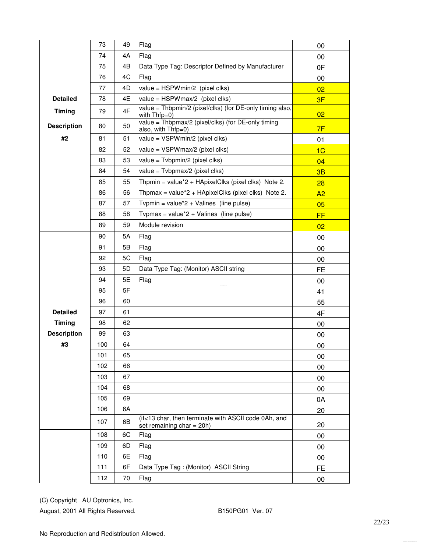|                    | 73  | 49 | Flag                                                                                 | 00             |
|--------------------|-----|----|--------------------------------------------------------------------------------------|----------------|
|                    | 74  | 4A | Flag                                                                                 | 00             |
|                    | 75  | 4B | Data Type Tag: Descriptor Defined by Manufacturer                                    | 0F             |
|                    | 76  | 4C | Flag                                                                                 | 00             |
|                    | 77  | 4D | value = HSPWmin/2 (pixel clks)                                                       | 02             |
| <b>Detailed</b>    | 78  | 4E | value = HSPWmax/2 (pixel clks)                                                       | 3F             |
| <b>Timing</b>      | 79  | 4F | value = Thbpmin/2 (pixel/clks) (for DE-only timing also,<br>with Thfp=0)             | 02             |
| <b>Description</b> | 80  | 50 | value = Thbpmax/2 (pixel/clks) (for DE-only timing<br>also, with Thfp=0)             | 7F             |
| #2                 | 81  | 51 | value = VSPWmin/2 (pixel clks)                                                       | 01             |
|                    | 82  | 52 | value = VSPWmax/2 (pixel clks)                                                       | 1 <sub>C</sub> |
|                    | 83  | 53 | value = Tvbpmin/2 (pixel clks)                                                       | 04             |
|                    | 84  | 54 | value = Tvbpmax/2 (pixel clks)                                                       | 3B             |
|                    | 85  | 55 | Thpmin = value*2 + HApixelClks (pixel clks) Note 2.                                  | 28             |
|                    | 86  | 56 | Thpmax = value*2 + HApixelClks (pixel clks) Note 2.                                  | A2             |
|                    | 87  | 57 | Typmin = value <sup>*</sup> 2 + Valines (line pulse)                                 | 05             |
|                    | 88  | 58 | Typmax = value <sup>*</sup> 2 + Valines (line pulse)                                 | <b>FF</b>      |
|                    | 89  | 59 | Module revision                                                                      | 02             |
|                    | 90  | 5Α | Flag                                                                                 | 00             |
|                    | 91  | 5Β | Flag                                                                                 | 00             |
|                    | 92  | 5C | Flag                                                                                 | 00             |
|                    | 93  | 5D | Data Type Tag: (Monitor) ASCII string                                                | <b>FE</b>      |
|                    | 94  | 5E | Flag                                                                                 | 00             |
|                    | 95  | 5F |                                                                                      | 41             |
|                    | 96  | 60 |                                                                                      | 55             |
| <b>Detailed</b>    | 97  | 61 |                                                                                      | 4F             |
| <b>Timing</b>      | 98  | 62 |                                                                                      | 00             |
| <b>Description</b> | 99  | 63 |                                                                                      | 00             |
| #3                 | 100 | 64 |                                                                                      | 00             |
|                    | 101 | 65 |                                                                                      | 00             |
|                    | 102 | 66 |                                                                                      | 00             |
|                    | 103 | 67 |                                                                                      | 00             |
|                    | 104 | 68 |                                                                                      | 00             |
|                    | 105 | 69 |                                                                                      | 0A             |
|                    | 106 | 6A |                                                                                      | 20             |
|                    | 107 | 6B | (if<13 char, then terminate with ASCII code 0Ah, and<br>set remaining $char = 20h$ ) | 20             |
|                    | 108 | 6C | Flag                                                                                 | 00             |
|                    | 109 | 6D | Flag                                                                                 | 00             |
|                    | 110 | 6E | Flag                                                                                 | 00             |
|                    | 111 | 6F | Data Type Tag: (Monitor) ASCII String                                                | <b>FE</b>      |
|                    | 112 | 70 | Flag                                                                                 | 00             |

(C) Copyright AU Optronics, Inc.

August, 2001 All Rights Reserved. B150PG01 Ver. 07